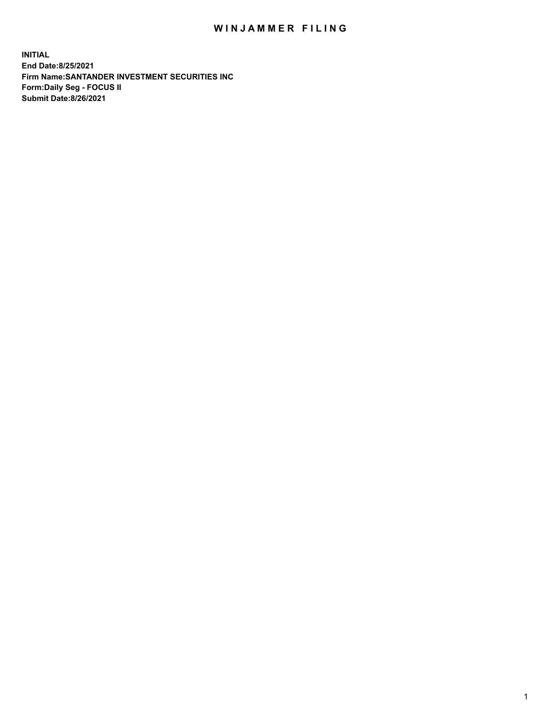## WIN JAMMER FILING

**INITIAL End Date:8/25/2021 Firm Name:SANTANDER INVESTMENT SECURITIES INC Form:Daily Seg - FOCUS II Submit Date:8/26/2021**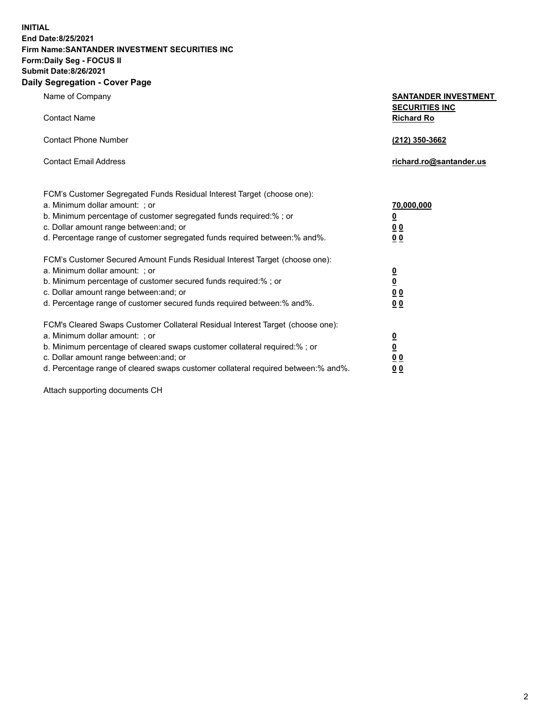**INITIAL End Date:8/25/2021 Firm Name:SANTANDER INVESTMENT SECURITIES INC Form:Daily Seg - FOCUS II Submit Date:8/26/2021 Daily Segregation - Cover Page**

| Name of Company<br><b>Contact Name</b>                                            | <b>SANTANDER INVESTMENT</b><br><b>SECURITIES INC</b><br><b>Richard Ro</b> |  |
|-----------------------------------------------------------------------------------|---------------------------------------------------------------------------|--|
|                                                                                   |                                                                           |  |
| <b>Contact Phone Number</b>                                                       | (212) 350-3662                                                            |  |
| <b>Contact Email Address</b>                                                      | richard.ro@santander.us                                                   |  |
| FCM's Customer Segregated Funds Residual Interest Target (choose one):            |                                                                           |  |
| a. Minimum dollar amount: ; or                                                    | <u>70,000,000</u>                                                         |  |
| b. Minimum percentage of customer segregated funds required:% ; or                | $\overline{\mathbf{0}}$                                                   |  |
| c. Dollar amount range between: and; or                                           | 0 <sub>0</sub>                                                            |  |
| d. Percentage range of customer segregated funds required between:% and%.         | 0 <sub>0</sub>                                                            |  |
| FCM's Customer Secured Amount Funds Residual Interest Target (choose one):        |                                                                           |  |
| a. Minimum dollar amount: ; or                                                    | $\frac{0}{0}$                                                             |  |
| b. Minimum percentage of customer secured funds required:% ; or                   |                                                                           |  |
| c. Dollar amount range between: and; or                                           | 0 <sub>0</sub>                                                            |  |
| d. Percentage range of customer secured funds required between:% and%.            | 0 <sub>0</sub>                                                            |  |
| FCM's Cleared Swaps Customer Collateral Residual Interest Target (choose one):    |                                                                           |  |
| a. Minimum dollar amount: ; or                                                    |                                                                           |  |
| b. Minimum percentage of cleared swaps customer collateral required:% ; or        | $\frac{0}{0}$                                                             |  |
| c. Dollar amount range between: and; or                                           | 0 <sub>0</sub>                                                            |  |
| d. Percentage range of cleared swaps customer collateral required between:% and%. | 00                                                                        |  |

Attach supporting documents CH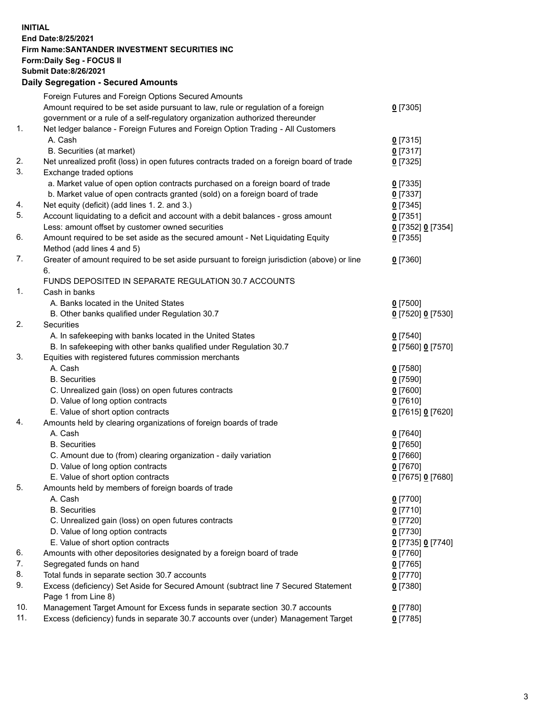**INITIAL End Date:8/25/2021 Firm Name:SANTANDER INVESTMENT SECURITIES INC Form:Daily Seg - FOCUS II Submit Date:8/26/2021 Daily Segregation - Secured Amounts**

|     | Foreign Futures and Foreign Options Secured Amounts                                         |                   |
|-----|---------------------------------------------------------------------------------------------|-------------------|
|     | Amount required to be set aside pursuant to law, rule or regulation of a foreign            | $0$ [7305]        |
|     | government or a rule of a self-regulatory organization authorized thereunder                |                   |
| 1.  | Net ledger balance - Foreign Futures and Foreign Option Trading - All Customers             |                   |
|     | A. Cash                                                                                     | $0$ [7315]        |
|     | B. Securities (at market)                                                                   | 0[7317]           |
| 2.  | Net unrealized profit (loss) in open futures contracts traded on a foreign board of trade   | $0$ [7325]        |
| 3.  | Exchange traded options                                                                     |                   |
|     | a. Market value of open option contracts purchased on a foreign board of trade              | $0$ [7335]        |
|     | b. Market value of open contracts granted (sold) on a foreign board of trade                | $0$ [7337]        |
| 4.  | Net equity (deficit) (add lines 1. 2. and 3.)                                               | $0$ [7345]        |
| 5.  | Account liquidating to a deficit and account with a debit balances - gross amount           | $0$ [7351]        |
|     | Less: amount offset by customer owned securities                                            | 0 [7352] 0 [7354] |
| 6.  | Amount required to be set aside as the secured amount - Net Liquidating Equity              | $0$ [7355]        |
|     | Method (add lines 4 and 5)                                                                  |                   |
| 7.  | Greater of amount required to be set aside pursuant to foreign jurisdiction (above) or line | $0$ [7360]        |
|     | 6.                                                                                          |                   |
|     | FUNDS DEPOSITED IN SEPARATE REGULATION 30.7 ACCOUNTS                                        |                   |
| 1.  | Cash in banks                                                                               |                   |
|     | A. Banks located in the United States                                                       | $0$ [7500]        |
|     | B. Other banks qualified under Regulation 30.7                                              | 0 [7520] 0 [7530] |
| 2.  | Securities                                                                                  |                   |
|     | A. In safekeeping with banks located in the United States                                   | $0$ [7540]        |
|     | B. In safekeeping with other banks qualified under Regulation 30.7                          | 0 [7560] 0 [7570] |
| 3.  | Equities with registered futures commission merchants                                       |                   |
|     | A. Cash                                                                                     | $0$ [7580]        |
|     | <b>B.</b> Securities                                                                        | $0$ [7590]        |
|     | C. Unrealized gain (loss) on open futures contracts                                         | $0$ [7600]        |
|     | D. Value of long option contracts                                                           | $0$ [7610]        |
|     | E. Value of short option contracts                                                          | 0 [7615] 0 [7620] |
| 4.  | Amounts held by clearing organizations of foreign boards of trade                           |                   |
|     | A. Cash                                                                                     | $0$ [7640]        |
|     | <b>B.</b> Securities                                                                        | $0$ [7650]        |
|     | C. Amount due to (from) clearing organization - daily variation                             | $0$ [7660]        |
|     | D. Value of long option contracts                                                           | $0$ [7670]        |
|     | E. Value of short option contracts                                                          | 0 [7675] 0 [7680] |
| 5.  | Amounts held by members of foreign boards of trade                                          |                   |
|     | A. Cash                                                                                     | $0$ [7700]        |
|     | <b>B.</b> Securities                                                                        | $0$ [7710]        |
|     | C. Unrealized gain (loss) on open futures contracts                                         | $0$ [7720]        |
|     | D. Value of long option contracts                                                           | $0$ [7730]        |
|     | E. Value of short option contracts                                                          | 0 [7735] 0 [7740] |
| 6.  | Amounts with other depositories designated by a foreign board of trade                      | $0$ [7760]        |
| 7.  | Segregated funds on hand                                                                    | $0$ [7765]        |
| 8.  | Total funds in separate section 30.7 accounts                                               | $0$ [7770]        |
| 9.  | Excess (deficiency) Set Aside for Secured Amount (subtract line 7 Secured Statement         | 0 [7380]          |
|     | Page 1 from Line 8)                                                                         |                   |
| 10. | Management Target Amount for Excess funds in separate section 30.7 accounts                 | $0$ [7780]        |
| 11. | Excess (deficiency) funds in separate 30.7 accounts over (under) Management Target          | $0$ [7785]        |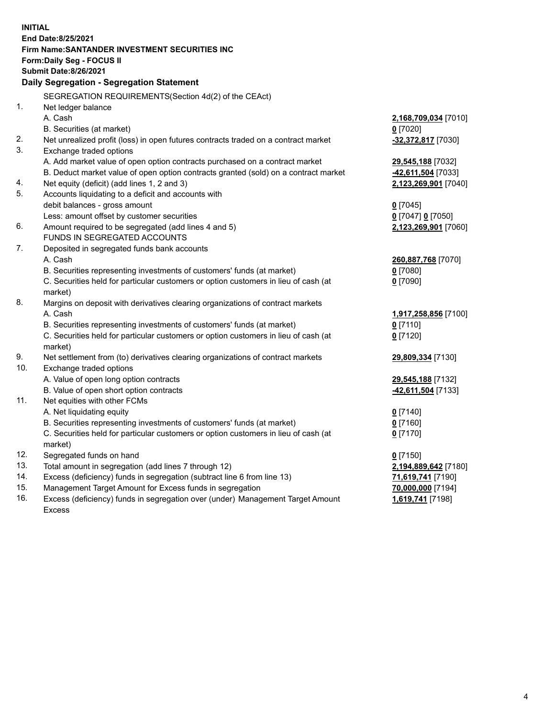| <b>INITIAL</b> |                                                                                            |                      |
|----------------|--------------------------------------------------------------------------------------------|----------------------|
|                | End Date:8/25/2021                                                                         |                      |
|                | Firm Name: SANTANDER INVESTMENT SECURITIES INC                                             |                      |
|                | Form: Daily Seg - FOCUS II                                                                 |                      |
|                | <b>Submit Date:8/26/2021</b>                                                               |                      |
|                | Daily Segregation - Segregation Statement                                                  |                      |
|                | SEGREGATION REQUIREMENTS(Section 4d(2) of the CEAct)                                       |                      |
| 1.             | Net ledger balance                                                                         |                      |
|                | A. Cash                                                                                    | 2,168,709,034 [7010] |
|                | B. Securities (at market)                                                                  | $0$ [7020]           |
| 2.             | Net unrealized profit (loss) in open futures contracts traded on a contract market         | -32,372,817 [7030]   |
| 3.             | Exchange traded options                                                                    |                      |
|                | A. Add market value of open option contracts purchased on a contract market                | 29,545,188 [7032]    |
|                | B. Deduct market value of open option contracts granted (sold) on a contract market        | -42,611,504 [7033]   |
| 4.             | Net equity (deficit) (add lines 1, 2 and 3)                                                | 2,123,269,901 [7040] |
| 5.             | Accounts liquidating to a deficit and accounts with                                        |                      |
|                | debit balances - gross amount                                                              | $0$ [7045]           |
|                | Less: amount offset by customer securities                                                 | 0 [7047] 0 [7050]    |
| 6.             | Amount required to be segregated (add lines 4 and 5)                                       | 2,123,269,901 [7060] |
|                | FUNDS IN SEGREGATED ACCOUNTS                                                               |                      |
| 7.             | Deposited in segregated funds bank accounts                                                |                      |
|                | A. Cash                                                                                    | 260,887,768 [7070]   |
|                | B. Securities representing investments of customers' funds (at market)                     | $0$ [7080]           |
|                | C. Securities held for particular customers or option customers in lieu of cash (at        | $0$ [7090]           |
|                | market)                                                                                    |                      |
| 8.             | Margins on deposit with derivatives clearing organizations of contract markets             |                      |
|                | A. Cash                                                                                    | 1,917,258,856 [7100] |
|                | B. Securities representing investments of customers' funds (at market)                     | $0$ [7110]           |
|                | C. Securities held for particular customers or option customers in lieu of cash (at        | $0$ [7120]           |
| 9.             | market)<br>Net settlement from (to) derivatives clearing organizations of contract markets | 29,809,334 [7130]    |
| 10.            | Exchange traded options                                                                    |                      |
|                | A. Value of open long option contracts                                                     | 29,545,188 [7132]    |
|                | B. Value of open short option contracts                                                    | -42,611,504 [7133]   |
| 11.            | Net equities with other FCMs                                                               |                      |
|                | A. Net liquidating equity                                                                  | $0$ [7140]           |
|                | B. Securities representing investments of customers' funds (at market)                     | $0$ [7160]           |
|                | C. Securities held for particular customers or option customers in lieu of cash (at        | $0$ [7170]           |
|                | market)                                                                                    |                      |
| 12.            | Segregated funds on hand                                                                   | $0$ [7150]           |
| 13.            | Total amount in segregation (add lines 7 through 12)                                       | 2,194,889,642 [7180] |
| 14.            | Excess (deficiency) funds in segregation (subtract line 6 from line 13)                    | 71,619,741 [7190]    |
| 15.            | Management Target Amount for Excess funds in segregation                                   | 70,000,000 [7194]    |
| 16.            | Excess (deficiency) funds in segregation over (under) Management Target Amount             | 1,619,741 [7198]     |
|                | <b>Excess</b>                                                                              |                      |